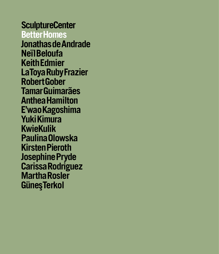**SculptureCenter Better Homes Jonathas de Andrade Neïl Beloufa Keith Edmier LaToya Ruby Frazier Robert Gober Tamar Guimarães Anthea Hamilton E'wao Kagoshima Yuki Kimura KwieKulik Paulina Olowska Kirsten Pieroth Josephine Pryde Carissa Rodriguez Martha Rosler GünesTerkol**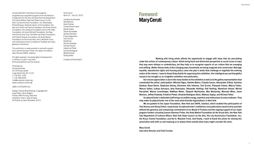## **Foreword Mary Ceruti**

 **Working with living artists affords the opportunity to engage with ideas that are percolating** under the surface of contemporary culture. Artists bring fresh and distinctive perspective to social issues in ways that may seem oblique or contradictory, yet they help us to recognize aspects of our culture that are emerging **and shifting. Better Homes looks at the changing ways households are being imagined and constructed. Marriage** equality, reproductive rights and housing policy come into play in works that challenge or negotiate the evolving notion of the interior. I want to thank Ruba Katrib for organizing this exhibition. Her intelligent eye and thoughtful **research has brought us an insightful exhibition and publication.**

Our sincere appreciation is due to the many lenders to the exhibition as well as to the gallery representatives that **coordinated the artists' participation: Mitchell Algus, Daniele Balice, Claudia Carson, Alessandra d'Aloia, Karolina Dankow, Derya Demir, Stephanie Dorsey, Electronic Arts Intermix, Tom Eccles, Pierpaolo Falone, Márcia Fortes, Marcos Gallon, Łukasz Gorczyca, Amy Greenspon, Alexander Hertling, Pati Hertling, Marieluise Hessel, Michał Kaczy´nski, Marina Leuenberger, Matthew Marks, Takayuki Mashiyama, Max Maslansky, Manuela Mozo, Jason Murison, Jeffrey Peabody, Friedrich Petzel, Amanda Rodrigues Alves, Mateusz Sapija, and Richard Telles.**

**SculptureCenter's dedicated staff brings incredible energy, expertise and enthusiasm to every endeavor. They help make SculptureCenter one of the most artist-friendly organizations in New York.**

**We are grateful to the Japan Foundation, New York and SAHA, Istanbul, which enabled the participation of Yuki Kimora and GünesTerkol, respectively. SculptureCenter's exhibitions and publications would not be possible** without the generous and unwavering commitment of our Board of Trustees and the ongoing support of our major program funders including Jeanne Donovan Fisher, the Andy Warhol Foundation for the Visual Arts, the New York City Department of Cultural Affairs; New York State Council on the Arts; the Lily Auchincloss Foundation, Inc; the Kraus Family Foundation; and the A. Woodner Fund. And finally, I want to thank the artists for sharing this **provocative work with us and inspiring us to always think outside what many might consider the norm.**

**Mary Ceruti Executive Director and Chief Curator**

SculptureCenter's exhibitions and programs are generously supported by grants from the National Endowment for the Arts; the New York City Department of Cultural Affairs; New York State Council on the Arts; Lily Auchincloss Foundation, Inc; Bloomberg Philanthropies; Goldman Sachs; A G Foundation; the Ken and Judith Joy Family Foundation; the Kraus Family Foundation; the Lambent Foundation fund of the Tides Foundation; the Joan Mitchell Foundation; the New York Community Trust; the Peter Jay Sharp Foundation; the Pollock-Krasner Foundation; the Andy Warhol Foundation for the Visual Arts; the A. Woodner Fund; and contributions from our Board of Trustees and many generous individuals.

This exhibition is made possible in part with support from Jeanne Donovan Fisher, the Japan Foundation, New York and SAHA, Istanbul.

All rights reserved, including rights of reproduction in whole or in part in any form. © SculptureCenter and the authors

Published by **SculptureCenter** 44-19 Purves Street Long Island City, NY 11101 t: 718.361.1750 f: 718.786.9336 info@sculpture-center.org www.sculpture-center.org

#### ISBN: 0-9703955-8-2

Design: Claudia Brandenburg, Language Arts Copy Editor: Alice Gregory Printer: RMI Printing, New York Exhibition Intern: Jessica Hong All Photos by Jason Mandella, 2013.

**Better Homes**  April 22 – July 22, 2013

Jonathas de Andrade Neïl Beloufa Keith Edmier LaToya Ruby Frazier Robert Gober Tamar Guimarães Anthea Hamilton E'wao Kagoshima Yuki Kimura KwieKulik Paulina Olowska Kirsten Pieroth Josephine Pryde Carissa Rodriguez Martha Rosler Günes Terkol

Curated by Ruba Katrib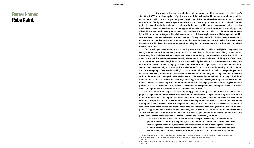# **Better Homes Ruba Katrib**

 **A boy plays, cries, smiles, and grimaces in a group of candid, gloss images. Josephine Pryde's Adoption (2009) series is comprised of pictures of a well-dressed toddler. His name-brand clothing and the** environment in which he is photographed give us insight into his life, but also raise questions about choice and **consumption. One by one, these images accumulate into an unsettling representation of childhood. The boy** pictured is complex—he is frustrated, he is happy, he has desires. He can be manipulated, but he can also **manipulate. Subject to mood swings, he can appear alternately adorable and grotesque. Necessarily passive,** this child is embedded in a complex range of power relations. His tenuous position is only further accentuated by the title of the series, *Adoption*. For whatever reason this cute boy was given away by his birth parents, and for whatever reason, someone else now calls him their own. Through this transaction, he has become a commodity of sorts, a status that is exaggerated by his representation as an image of idealism and desire. The works extend beyond the specificities of the narrative presented, exposing the proprietary threads that infiltrate all familial and **domestic structures.**

"Family no longer serves as the central organizing feature of society," and in many high-income parts of the world, work and career have become paramount due to a complex set of circumstance.1 Many factors—move**ments away from traditional values, competitive careers, urban living, shifting social attitudes (in addition to financial and political conditions)—have radically altered our notion of the household. The place of the home,** as separate from the site of labor, is known as the primary site of private life, the place where desire, leisure, and consumption play out. But our changing relationship to work has had a large impact. The theorist Franco "Bifo" Berardi has questioned why this "new kind of worker value[s] labor as the most interesting part of his or her life..."<sup>2</sup> Interrogating a "new love for working"—a use of love that is perhaps in opposition to expending emotion on other individuals—Berardi points to the difficulty of economic sustainability and a daily life that is "lonely and tedious"; he writes that "metropolitan life has become so sad that we might as well sell it for money."<sup>3</sup> Traditional notions of just what *is* a household are becoming increasingly outmoded. No longer is it a given that a household is defined solely by a married couple and their children. As a result of changing economic conditions, governmental **policies, and social movements and attitudes, households are being redefined. <sup>4</sup> Throughout these transforma tions, it is important to ask: What do we want our homes to look like?**

Over the last century, people have lived increasingly urban, solitary lives.<sup>5</sup> What does this radical demographic change indicate? How have we anticipated and adapted to these changes? In the early 20th century, the **material feminists advocated against the pernicious effects of bourgeois domesticity on women and the family** structure; they pushed for a total revision of many of the configurations that defined domestic life. These early interrogations took place when there was the possibility of restructuring the home as we now know it. As Victorian formations of the home shifted and more women were directly tasked with caring for the house and its occu**pants—as opposed to domestic servants who increasingly found work in new industries—material feminists such as Christine Frederick and Charlotte Perkins Gilman actively sought to redefine the construction of public and private space to seek better positions for women, and thus the entire family structure:**

**The material feminists advocated the introduction of cooperative housing, kitchenless homes, public kitchens, community dining clubs, day-care centers for children and communal laundries. Borrowing ideas from hotels, restaurants and factories they sought to challenge the idea of the separate spheres and to end women's isolation in the home, their dependency on men, and their old-fashioned 'craft' approach towards housework. Theirs was a total rejection of the traditional**

3 Ibid, 83.

<sup>1</sup> Joel Kotkin with Anuradha Shroff, Ali Modarres, et al. The Rise of Post-Familialism: Humanity's Future (Singapore: Civil Service College, 2012), 1.

<sup>2</sup> Franco "Bifo" Berardi, The Soul at Work: From Alienation to Autonomy (Los Angeles: Semiotext(e), 2009)**,** 79.

<sup>4</sup> For example, see: David Brooks, "The Age of Possibility," The New York Times, (November 16, 2012): A35 and Kotkin. 5 See Kotkin.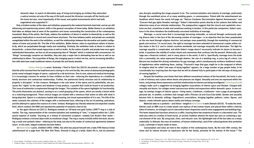**domestic ideal. In search of alternative ways of living and bringing up children they advocated** a radical revision not only of the way of life built around the Victorian concepts off the family and **the home but also, most importantly, of the visual, and spatial environments which had both engendered and supported it.6**

Only a limited number of the ideas and initiatives proposed by the material feminists took hold, and we are still witnessing and experiencing seismic shifts in the general conception of home today. Better Homes is an exhibition that takes an oblique look at some of the questions and issues surrounding the construction of the contemporary household. Many of the artists, like Pryde, address the aesthetics of desire in relation to domesticity, as well as the proprietary implications in recent and current home structures. The lines between public and private are constantly renegotiated within the work in the exhibition, as well the relationships between the decorative and spatial configurations of home and private life. The title of the exhibition, Better Homes, refers to aspirational notions of domesticity, which are perpetuated through media and marketing. Similarly, the exhibition looks at desire in relation to domesticity—a desire that reveals hypocrisies as well as truths. As the realms of public and private have once again **redistributed themselves, we face an all-encompassing idea of "lifestyle" which is entwined with consumerism. As** "things" increasingly comprise our identities, they also play a major role in delineating how we live as well as our relationship to others. The acquisition of things, the changing spaces in which we live, and an increasing identifica**tion with work have made traditional notions of private life and family obsolete.** 

 **Carissa Rodriguez's series Yesterday I Tried to Paint You (2012) documents a sperm donation** that the artist received from her boyfriend and is storing in a for-rent facility. Her series of abstracted photographic prints reveal enlarged images of sperm, captured by a lab technician. Due to new, advanced medical technology, it is increasingly common for women to have children on their own—reducing the dependency on a traditional **family structure and contractual relationships. Further, the patriarchal family structure and its relationship to** property is disrupted.<sup>7</sup> In this instance, Rodriguez is the sole owner of the sperm and its potentiality; she possesses the "rights" to the sperm and whatever it may produce, a parallel that could be found in art production. This issue of authorship is emphasized through the images. The isolation of the sperm highlights its functionality. The prints themselves are abstract, zeroing in on a small grouping of the sperm, which are mostly a bluish white on a matching background. These clinical images are treated with a reverence that seems at odds with what is being depicted. Sperm is a substance loaded with meaning, but visual representation of it is rare. The title of the works contrasts the coldness of the images with a sentimental tone, referring to the act of painting, portraiture, and the attempt to capture the essence of a lover. Instead, Rodriguez has literally obtained and depicted a bodily **fluid, which contains the DNA and reproductive potential of someone close to her.**

**In You again (Ancora tu) (2011), Rodriguez embeds an 18-karat rose gold Cartier LOVE™ ring in a slab of marble. The ring, representative of the commercialization and marketing of "love," is trapped within the 1,200 pound expanse of marble. Touching on a history of minimalist sculpture—notably Carl Andre's floor works—** Rodriguez embeds a minimal object with an emotional charge. The ring is nearly invisible within the work, becoming a small and symbolic token—referring to the body, but also to the modes of contractual agreements between **lovers. In this work, elegant materials become fetters.**

In Robert Gober's print, Untitled (1992–1996), the artist has placed himself into a Saks Fifth Avenue bridal advertisement on a page from *The New York Times*. Dressed in drag as a bride, Gober fits in, but his presence **also disrupts everything the image purports to be. The commercialization and industry of marriage, particularly through the exorbitant prices of so many wedding gowns, is commonplace. Paired with the advertisement are headlines which frame the nearly full-page ad: "Vatican Condones Discrimination Against Homosexuals," and "Concern that gay rights threaten marriage." Gober's intervention points directly at the systems that define and determine many of our intimate relationships. The juxtaposition suggests that the church and capitalistic struc**tures are tied, sometimes at odds and sometimes working in tandem. In this particular comparison, Gober's pres**ence in the dress threatens the traditionally-conceived institution of marriage.**

**Marriage—a social norm that is increasingly becoming untenable, as evinced through continuously spik**ing divorce rates in the face of the decreasing number of marriages—is an objective that has been perpetuated **on the one hand through religious doctrine, but perhaps more powerfully, through the marketing of commercial** goods and services.<sup>8</sup> In recent years, the right to marriage has been extended to homosexual couples within certain states in the U.S. and in certain countries worldwide, but marriage inequality still dominates. The fight for **marriage equality is complicated, and while Gober's image doesn't necessarily indicate his desire to become a** bride, it questions the validity of certain rituals and ceremonies that continue into the present. Historically, marriage was a financial contract, and in many places in the world, it still is. Specifically, marriage turns the bride into a commodity, her value expressed through dowries, the size of a wedding ring, or price tag of a dress. Leo **Bersani has troubled the driving motivations for gay marriage, which simultaneously reinforce traditional modes** of togetherness while redefining them, stating: "Foucault's hope that gays might be in the vanguard of efforts to imagine what he called 'new ways of being together' appears, for a large number of gay people today, to be considerably less inspiring than the hope that we will be allowed fully to participate in the old ways of being and **of coming together."9**

Despite the traditions and rituals that have defined conventional notions of the household, the home is also a site of intimacy and a place where desire and pleasure are staged. Sexuality and eros are expressed within the **home, and perhaps these expressions and their relationships to interiors are being reconfigured. E'wao Kagoshima's collages make such a suggestion by bringing together associations of interior space and lifestyle. Charged with** sexuality and desire, his collages reveal subconscious wishes and expressions within domestic space. In one col**lage, he overlays images of interior spaces—living rooms, a bedroom, a bathroom—over a page of pornographic** personal ads. In another, a shirtless man lounges with a Persian cat and Coca-Cola bottle. Gender and sexuality **become foils to domestic settings. Kagoshima's associations, bringing together patterns, colors, figures, and objects, create intimate spaces where reality and fantasy converge.**

**Materials take on a symbolic—and literal—weight in Keith Edmier's work Adonaïs (2010). To make the work,** Edmier used an MRI scan to create basalt cast replicas of two human hearts and placed them within a kitschy token of romance, an enlarged cast of a decorative heart-shaped box used to store engagement and wedding rings. The heart-shaped box functions almost as a coffin, housing these two anatomical hearts in a decorative case. The work also refers to a history of heart burial, an archaic tradition wherein the heart was seen as containing a special element of the soul. By using lead, silver, and volcanic rock, the lightweight look of the box takes on a heavy materiality. In Adonaïs, the mass of emotions, of human relationships, and of the cultural gestures that symbolize **a pair, culminate in hearts made of stone.**

**Consumption and value are tied to the creation of the contemporary home. By the mid-19th century, the** home and its interior became an expressive site for the family, primarily for the woman of the house.<sup>10</sup> The

7 Frederick Engels, The Origin of the Family, Private Property and the State (Chippendale: Resistance Books, 2004) 67 - 68.

8 See: Robbie Brown, "Saying no to 'I Do,' With the Economy in Mind," The New York Times (September 29, 2010): A15.

<sup>9</sup> Leo Bersani, Is the Rectum a Grave? and Other Essays (Chicago: University of Chicago Press, 2010), 86. 10 Sparke, 91.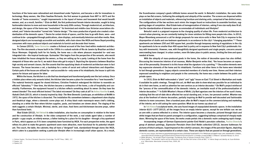#### **SculptureCenter**

functions of the home were rationalized and streamlined under Taylorism, and became a site for innovations in technology. Many women, like Ellen Swallow Richards, the first woman to graduate from MIT in 1873 and the **founder of "home economics," sought improvements in the layout of homes and housework that would benefit** women, and, as a result, families.<sup>11</sup> Elsie de Wolf, the first professional female interior decorator, sought to bring fashionable interiors to more and more households in the early 20th century. Through modernist art, architecture, **and design, the space of the home was "neutralized." Its feminized and middle-class Victorian associations dis**solved, and "interior decoration" turned into "interior design." The mass-production of goods also created a standardization of the domestic space.<sup>12</sup> Desire for certain kinds of spaces, and the lives to go with them, were—and **continue to be—propagated through publications, store displays, and eventually television and other media. Now, designed objects are increasingly accessible and available, with chain stores like IKEA and Home Depot providing consumers with mass-produced objects and materials to furnish and decorate their homes.**

**In Canoas (2010), Tamar Guimarães creates a fictional account of the lives lived within modernist architec**ture. The film documents a house built in the 1950s in a suburb outside of Rio de Janeiro by Brazilian architect **Oscar Niemeyer. Originally built for his family, the home was a site where pleasure responded to—and was integrated into—the tropical landscape. Guimarães' film begins from the perspective of the servants, who would** have inhabited the house alongside the owners, as they are setting up for a party. Looking at the home from the viewpoint of those who care for it, we watch those who get to enjoy it. Depicting the dynamics between Brazilian high society and servant classes, the film asserts that the equalizing ideals of modernist architecture were in fact tenuous. The house becomes a set, a backdrop for a series of social and cultural interactions and disparities. Certain parts of the house are utilized by—and accessible to—only some of its inhabitants; the house is split into **spaces for leisure and spaces for labor.**

Within the house, the kitchen is a site that has developed and transformed greatly over the last century. Once a hidden place where only servants toiled, the kitchen later became a place for innovation for a "new housewife." **The material feminists argued for shared kitchens; Christine Frederick redesigned the kitchen to resemble an** efficient "laboratory."<sup>13</sup> Over time, the kitchen became a centerpiece of the home, a site of hospitality and conviviality. Furthermore, the equipment housed in a kitchen reflects something about its owner: Do they have the newest blender? The most efficient knives? The latest microwave? Do they cook at all? In Anthea Hamilton's work, **Kabuki Chefs (2013), which is loosely inspired by Italy: The New Domestic Landscape, an exhibition at MoMA in** 1972, the space of the kitchen is dissected. The installation fits somewhere between a department store display and theatrical stage, where a domestic scene plays out. A shiny black male mannequin wears chef's clothing, standing on a white tile floor where kitchen supplies, pasta, and tomatoes are strewn about. The staging of the **work suggests a certain lifestyle. Minimal, sterile, and clean, food items and kitchenware become props, rather than functional tools.**

**Real Estate (2012), Neïl Beloufa's video installation, also touches on consumption in relation to the home** and the construction of lifestyle. In the video component of the work, a real estate agent takes a number of people—a gay couple, an elderly woman, a father looking for a place for his daughter—through a tiny apartment in Paris, which appears as if it's been completely been furnished by IKEA. For each prospective renter, the agent refines his pitch to make the generic apartment seem more attractive, more functional for its potential inhabitant. The couch, the table, the cabinets: they all have a "designed" look, standardized through stores like IKEA, which caters to a population seeking a particular lifestyle often in increasingly small urban spaces. As a result,

11 Dolores Hayden, The Grand Domestic Revolution (Cambridge: The MIT Press, 1982), 157.

**the Scandinavian company's goods infiltrate homes around the world. In Beloufa's installation, the same video** plays on two flat screens, furthering the ambiguity and ubiquity of the narrative. The screens are dispersed within an installation of objects and materials, referencing furniture and shelving units, comprised of two distinct areas. The configurations of the two sections each mimic the images found on instructions to assemble furniture, suggesting stages of completion. Real Estate looks at homogenization of interiors, asking if one size really does fit all. **Can the standardization of domestic space accommodate all individuals and lifestyles?**

Beloufa's work is a poignant response to the changing quality of urban life. From modernist architecture to current urban planning, we are constantly looking for clever solutions for fitting more people into cities. In 2012, Mayor Bloomberg announced a call for design proposals for new micro-units in New York City in response to the **disproportion of studio and one-bedroom apartments in accordance to the city's "changing population."14 These** apartments are between 250 and 300 square feet, possible through temporary waiving of regulations in the city for apartments to be no smaller than 400 square feet (a policy set in response to New York City's problematic his**tory with tenements). However, now, with thoughtfully designed apartments and single people, concerns around** overcrowding have changed. In urban centers, more life takes place in public arenas, limiting the time and space **needed at home.**

**With the ubiquity of mass-produced goods in the home, the notion of decorative space has also shifted. Discussing the immersive interiors of art nouveau, Walter Benjamin writes that, "the house becomes an expres**sion of the personality. Ornament is to this house what the signature is to a painting."<sup>15</sup> Decorative elements were key expressive elements of the home and its inhabitants. Furniture and other items in the home were intended to last through generations. Legacy objects connected members of a family over time. Homes and their interiors expressed something to neighbors and people in the community; the home was a realm between the public and **private space.**

In 1910, Elsie de Wolf redecorated a "plain" and "ugly" house on East 71st Street in Manhattan and made it available for public viewings. Through this act, de Wolf was able to show what was possible for an individual to do in their own home, as well as advertise her own services as an interior decorator.<sup>16</sup> De Wolf's project reinforced **the "process of the commodification of the domestic interior, an inevitable result of the professionalization of** interior decoration."<sup>17</sup> In Edith Wharton's *House of Mirth*. Lily Bart agonizes over the interiors of her aunt's home. realizing that the out-of-date décor affected her social standing and, in turn, her personal comfort. Wharton was also at the forefront of interior decoration, partially inspiring de Wolf to provide well-decorated and fashionable interiors to more consumers. Over a hundred years after de Wolf's impact on the commercializing and marketing **of the interior, we're still asking the same question: What do our homes say about us?**

**In Yuki Kimura's sculptural works, she uses found images of unpopulated domestic spaces. In the installation** *Interior 6L01~107T* (2012), all the images focus on empty interior spaces, except for one telltale cue: we see an arm with a camera reflected in a mirror. The interior space becomes a character, pictured through black and white images that are fixed on panels arranged in a configuration, suggesting hallways comprised of cheaply made doors. Mirroring the space of the home, the works create portals into a domestic realm undergoing rapid change.

**Incorporating images of German Expressionist painter Emil Nolde's porcelain collection, Paulina Olowska's group of abstract paintings, Expressive Porcelain (from Emil Nolde collection) (2012), become buttresses for** pictures of kitsch antiques. Superimposed on the colorful canvases, the images of the porcelain figures, depicting domestic scenes, are representative of a certain class. These are objects that are passed on through generations,

12 Sparke, 147. 13 Sparke,133.

<sup>14</sup> See the press release: http://www.nyc.gov/portal/site/nycgov/menuitem.c0935b9a57bb4ef3daf2f1c701c789a0/index.jsp?pageID=mayor\_press\_release&catID=1194&doc\_ name=http%3A%2F%2Fwww.nyc.gov%2Fhtml%2Fom%2Fhtml%2F2012b%2Fpr257-12.html&cc=unused1978&rc=1194&ndi=1 (accessed February 10, 2013).

<sup>15</sup> Walter Benjamin, The Arcades Project (Cambridge: The Belknap Press of Harvard University Press, 2002), 9. 16 Penny Sparke, "The domestic interior and the construction of self: the New York homes o Elsie de Wolf." in *Interior Design and Identity*, ed. Susie McKellar

et al. (Manchester: Manchester University Press, 2004), 85. 17 Ibid.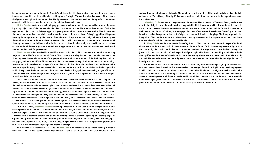becoming symbols of a family lineage. In Olowska's paintings, the objects are restaged and transform into characters—almost stand-ins for the real families that they are referring to. The comic and garish posing of the decorative figures is nostalgic and commemorative. The figures serve as reminders of tradition, their playful connotations **contrasted with the accumulation of their sentimental and economic value.**

**Kirsten Pieroth's works also speak to legacy, personal attachment, and the accumulation of value. By mak**ing luxury objects out of cheap materials, like plastic bottles and plaster, Pieroth examines notions of value. By **reproducing objects, such as Fabergé eggs and crystal glasses, with a present-day perspective, Pieroth questions** the items that symbolize domesticity, wealth, and inheritance. A broken plaster Fabergé egg with a U.S penny standing in for a portrait and goblets made of soda bottles, disrupt the idea of family heirlooms. Pieroth questions notions of value attributed to these decorative objects, which are meant to communicate and ensure social **standing. Memory is tied to them, and while the glasses are functional—usually relegated to special occasions** of ritual and tradition—the glassware, as well as the eggs, adorn a home, representing accumulated wealth and **status extending back for generations.**

**Martha Rosler's video How Do We Know What Home Looks Like? (1993) documents a Le Corbusier housing** project from the 1960s in south central France. Shot primarily in a wing that had been closed for ten years, the video captures the remaining traces of the people who once inhabited that part of the building. Decorations, wallpaper, and personal effects fill the rooms as the camera moves through the interior spaces of the building. Interspersed with interviews and images of the people that still lived there, the relationships to modernist archi**tecture are put into play. Like Guimarães' film, ideas around family habitats, sociability, and other dynamics** within the space of the home take on a life of their own. Rosler's film, split between moving images of interiors and interviews with the building's inhabitants, reveals the disjunctions in our perception of the home as a repre**sentative and discursive space.**

Class and ideas around labor impact how we experience households. While there is the notion of aspirational homes, desires for the kinds of places we want to live in and the kinds of family structures we want, there is also the reality that home can be an overwrought notion. Ideas around wealth and connectivity have been redirected towards the accumulation of money, things, and the autonomy of the individual. Berardi redirects the understanding of wealth that dominates capitalist culture, stating, "wealth does not mean a person who owns a lot, but refers to someone who has enough time to enjoy what nature and human collaboration put within everyone's reach."<sup>18</sup> As **bonds between people wear down and push towards self-serving ideas of success, an increased alienation occurs. As investments in familial lineage and proprietary configurations of the household shift, different subjectivities are** formed. Are new traditions supplanting the old ones? How does this impact our relationships with our loved ones?

**In 2 em 1 (2010), Jonathas de Andrade creates a pedagogical work that uses pictures to explain how to turn** two single beds into a double. The direct presentation of the images mimics instructional manuals, but the doit-yourself aspect reveals a socioeconomic reality. In Beloufa's work, a throw-away culture is highlighted; in de Andrade's work a necessity to reuse and transform existing objects is exposed. Speaking to a scarcity of goods experienced by different classes and in different parts of the world, objects can have many lives. The merging of two beds could represent an upgrade, as well as the joining of two individuals. The straightforward presentation **of the work allows for emotionally charged narratives to emerge.**

**In Activities with Dobromierz (1972–1974), KwieKulik, a collaborative artist couple working in Poland** from 1971–1987, made a series of works with their son. Over the span of two years, they took pictures of him in

various situations with household objects. Their child became the subject of their work, but also a player in their collaboration. The intimacy of family life became a mode of production, one that resists the separation of work, **life, and society.**

**LaToya Ruby Frazier documents the people and places around her hometown of Braddok, Pennsylvania, a for**mer steel mill city. In two of the works on view, images of dilapidated houses reveal the destruction of this specific town, but also speak to the devastation of communities across the United States, and the factors that have led to their destruction: the loss of industry, the mortgage crisis, home foreclosures. In one image, Frazier's grandmother is pictured in her living room with a pack of cigarettes, surrounded by her belongings. The images speak to the integration of labor and the home, and to how those changing relationships, due in part to economic crises, have **dramatically affected the notion of home and family.**

**In Günes Terkol's textile work, Desire Passed by Band (2010), the artist embroidered images of fictional** characters from the town of Izmir, Turkey onto white pieces of fabric. Each character represents a figure from **the community, depicted as an individual, but also as members of a larger network, emphasized through the** juxtaposition and accumulation of the images. Each figure depicted by Terkol has something attached to its body that signifies its role. A woman's head morphs into a lion reading a book, and a man with a clock for a face holds a shovel. The symbolism attached to the figures suggests that these are both internal and external projections of **identity and social roles.**

**Better Homes looks at the construction of the contemporary household through a group of artworks that** consider the ways in which we live. The works on view raise a range of questions, highlighting the changing ways in which individuals interact and inhabit domestic spaces today. The home is an obiect of desire, loaded with fantasies and realities, and affected by economic, social, and political attitudes and policies. The household is an arena in which people are influenced by the world around them, trying to carve out their own space, which is dictated by larger systemic factors. The artists in the exhibition see domestic space as a porous one, one that both **protects its inhabitants from the world but also necessarily lets some of the world in.**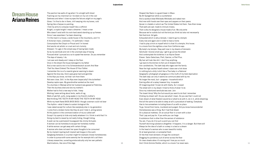## **Dream House Ariana Reines**

The pavilion has walls of rug when I'm a knight with blood Foaming out my chainmail so I lie down on my cot in the cool Darkness and when I close my eyes the falcons alight on my page's Glove. I'm fine to die in there, chill seeping into my bones, cold Spring like a Carpaccio painting. I fold my arms to compose myself like a coffinlid Knight, a crypto knight I mean a dreamer. I mean a man Who doesn't exist with his rock-hard sword standing up up forever. Since I was seventeen I've been dreaming I'm the maid in a house, a wide house in the mountains, and I'm A Victorian maid, a domestic, I'm asthmatic I mean Consumptive like Chopin or Proust and I'm honest And servile not artistic or cruel and not clumsily Dressed. I'm ugly in the simple way of having been made So by my servitude and not in the unsimple way of having Pursued what I pursued as a so to speak free woman. Do you remember The days of slavery. I do. I am wan and dowdy and I sleep on the floor. Once in the dream the house belonged to my father And a man said to me in his Schwizerdeutsch accent And Now That You Have Entered The House Of Your Father. I remember the ice of a nearish glacier seeming to steam Against the blue sky. One's eyes grow hard and gemlike In the Alps you know, not that I am from there Not even close. Still. In the Alps even (especially?) the dullwitted Develop raptor eyes. My grandmother worked as the maid To a duchess in Warsaw while her husband was gassed at Treblinka. Then the duchess died and she my mother's Mother had to find a new way to hide. I keep Wishing I were writing about tents, walls of rug, Walls of yak felt, yurts, lying awake in my friend's mother's Bed thinking THE TEETH IN MY HEAD THE TEETH IN MY HEAD While my heart flared BIOS BIOS BIOS I though a woman could not bear The rhythm—what it takes to sustain biological life. I was naked except for culture like everybody else in my generation I come from a broken home like they do and I hide it, acting serene At the joystick in the command station of my so-called self Except I try openly to hide only badly whatever it is I think is wild that I'm Doing my best to reveal by not really hiding, though hiding. A poet can be a permanent houseguest like Jimmy Schuyler. A woman can be homeless to escape her homeless mother. A white woman can get away with certain things. A woman who does not want her spare thoughts to be consumed By lip implant rippling butt implant wet tongue in the sushi Gangbang fantasies in a suntan might for example choose homelessness In order to pursue with some serenity her for example let's call them Literary researches, surveiling aristocratically only her own pathetic Machinations, like one of the dogs

Shaped like Nazis in a guard tower in Maus By Art Spiegelman while a countertenor And a sackbut bleat Wikileaks Wikileaks and naked men And men with hoods over their eyes and zappers on their peens Quiver in citadels in which we The United States hid them. Yves Klein knew That walls are sad: made to immure misery. That is why he designed a house made of air. We only write Because we're nudists but not the kind you think but also not necessarily Not that kind. Art gets Exhausted which is why a temple, I need to go to a temple Every now and again and in order to have a home I had to play a trick on myself which is that it's a temple, this house. In a movie from the eighties a man from California says My body's my temple. Okay well now in my dreams of domestic Servitude I receive small pay. I get to go across the street And contemplate the toiletries in an Alpine Seven Eleven. Salon Selectives, Prell, Garnier, or Pert Plus. My hair will look like shit. I don't buy anything. I go back to the kitchen to fish out of drawers three Iron candlesticks. The dark lady who rages over the family Near the high vaulted hearth where I slave over a hot stove In nothing but a dirty t-shirt like a Thai baby in a National Geographic photograph all gorgeous in the mufti of my total deprivation The dark lady can only it seems be communicated with by me No longer the maid, but—progress—household witch Earning after all a salary however tiny; incapable Of imagining what I'd ever do with liberty. As I crossed The street still in my dream I tried to think of what I'd do Once my indentured servitude was over. Join The Israeli Army? Why the fuck would you want to do that I remember Chiding my dream self. Do you see what I mean. Do you see that I could not Even dream of what freedom would be or what to do with it, do in it, while dreaming. And all the same to be able to sleep at all's a procedure of waking. Everybody Has to live somewhere including those of us with no place To go, forced from home, murdered and purged. Did you know transcendental Homelessness was a thing. But I had that dream On a physical mattress. On an actual floor in a room with a door That I pay and pay for. If you write you can forge A substance that is other than the woman of substance You are. If you do it to such a point you can find Yourself declining substance altogether. It happens. It is a danger. But there will Always be the idea of a bath or a sleep in a bed or a dream In the head of a woman who is even beautiful visibly Or at least groomed, or somewhat fresh Or like that most domestic of bugs the cockroach Dragging his ponderous suit of armor across the floor Or clean sheets when it's raining and I love you so much And I think Gimme Shelter, which is a movie I've never seen.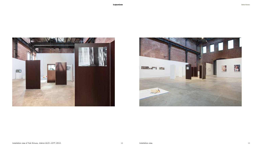

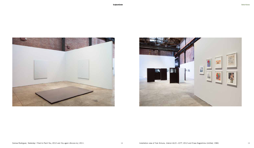



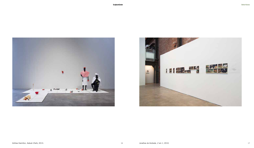

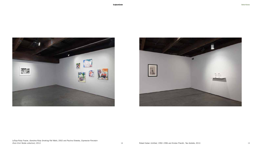

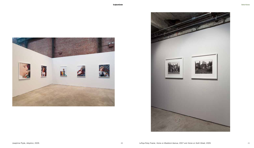

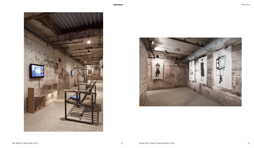

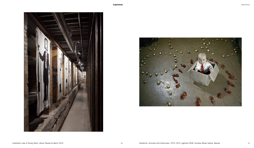

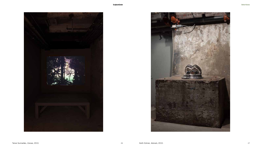



## Tamar Guimarães, Canoas, 2010. **Marca 1992.** Compositor de Santia Canada e a Canada e Santia Canada e Archives de S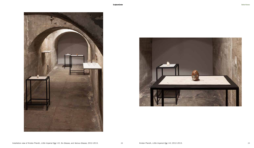

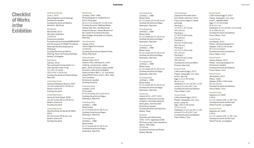# **Checklist o f Works i n the** Exhibition

**Jonathas de Andrade**  2 em 1, 2010 28 photographs and 4 drawings Dimensions variable Courtesy the artist and Galeria Vermelho, São Paulo

#### **Neïl Beloufa**  Real Estate, 2012

HD video installation 12:00 min. Dimensions variable Co-produced by red shoeslSOMESHOES with the support of FNAGP (Fondation Nationale des Arts Graphique et Plastique) Courtesy the artist and Balice Hertling, Paris and François Ghebaly Gallery, Los Angeles

### **Keith Edmier**

Adonaïs, 2010 Two cast basalt human hearts in a lead case with silver lining 12 x 18 x 14 inches (30.5 x 45.7 x 35.6 cm) Courtesy the artist and Petzel Gallery, New York

#### **LaToya Ruby Frazier**

Home On Braddock Avenue, 2007 16 x 20 inches (40.6 x 50.8 cm) Gelatin silver print Courtesy the artist

### **LaToya Ruby Frazier**

Home On Sixth Street, 2009 16 x 20 inches (40.6 x 50.8 cm) Gelatin silver print Courtesy the artist

### **LaToya Ruby Frazier**

Grandma Ruby Smoking Pall Malls, 2002 20 x 24 inches (50.8 x 61 cm) Gelatin silver print Courtesy the artist

#### **Robert Gober**

Untitled, 1992–1996 Photolithograph on folded French Dur-O-Tone paper 22.5 x 13.5 inches (57.2 x 34.3 cm) Courtesy the artist, Matthew Marks Gallery, New York, and Marieluise Hessel Collection, Hessel Museum of Art, Center for Curatorial Studies, Bard College, Annandale-on-Hudson, New York

#### **Tamar Guimarães**

Canoas, 2010 16mm digital film transfer 13:30 min. Courtesy the artist and Galeria Fortes Vilaça, São Paulo

## **Anthea Hamilton**

Kabuki Chefs, 2013 Ceramic tiles, mannequins, chef's clothing, culinary tools, rubber, garlic, artificial lemons, paper, plaster soy sauce, vertical blind weights, Givenchy fabric AW11 / 12, puy lentils, polyurethane foam, acrylic, resin, steel, vine, tomatoes Dimensions variable Courtesy the artist

## **E'wao Kagoshima**  Untitled, 1976 Oil on paper 8.75 x 9 inches (22.2 x 22.9 cm) Courtesy the artist and Algus Greenspon, New York

**E'wao Kagoshima**

Untitled, c. 1980 Mixed media 9 x 12 inches (22.9 x 30.5 cm) Courtesy the artist and Algus Greenspon, New York

## **E'wao Kagoshima**

Untitled, c. 1980 Mixed media 9 x 12 inches (22.9 x 30.5 cm) Courtesy the artist and Algus Greenspon, New York

## **E'wao Kagoshima**

Untitled, c. 1980 Mixed media 9 x 12 inches (22.9 x 30.5 cm) Courtesy the artist and Algus Greenspon, New York

## **E'wao Kagoshima**

Untitled, c. 1980 Mixed media 9 x 12 inches (22.9 x 30.5 cm) Courtesy the artist and Algus Greenspon, New York

### **E'wao Kagoshima**

Untitled, c. 1980 Mixed media 9 x 12 inches (22.9 x 30.5 cm) Courtesy the artist and Algus Greenspon, New York

## **E'wao Kagoshima**

Untitled, c. 1980 Mixed media 9 x 12 inches (22.9 x 30.5 cm) Courtesy the artist and Algus Greenspon, New York

## **E'wao Kagoshima**

Untitled, c. 1980 Mixed media 9 x 12 inches (22.9 x 30.5 cm) Courtesy the artist and Algus Greenspon, New York

## **Yuki Kimura**

Interior 6L01~107T, 2012 9 gelatin silver prints mounted on alpolic, laminated plywood, wood, glass, stainless steel Dimensions variable Courtesy the artist and Taka Ishii Gallery, Tokyo

### **KwieKulik**

Activities with Dobromierz, 1972–1974, digitalized 2008 HD three-screen slide installation, approx. 390 slides 31:03 min. Courtesy the artists and Raster Gallery, Warsaw

#### **Paulina Olowska**

Expressive Porcelain (from Emil Nolde collection), 2012 Five oil and collage on canvas paintings Painting  $1 -$ 15.75 x 11.81 inches (40 x 30 cm) Painting 2-27.56 x 23.62 inches (70 x 60 cm) Painting 3 — 23.62 x 19.69 inches (60 x 50 cm) Painting 4 — 16.14 x 12.99 inches (41 x 33 cm) Painting 5 — 19.69 x 23.62 inches (50 x 60 cm) Courtesy the artist and Metro Pictures, New York

## **Kirsten Pieroth**

Little Imperial Egg I, 2012 Plaster, newspaper, coin, wire, acrylic, key ring Egg: 3.15 x 2.44 inches (8 x 6.2 cm) Cardboard: 0.12 x 16.54 x 11.69 inches (0.3 x 42 x 29.7 cm) Courtesy the artist and Galleria Franco Noero, Turin

## **Kirsten Pieroth**

Little Imperial Egg II, 2013 Plaster, newspaper, coin, wire, acrylic, pizza rim Egg: 2.95 x 2.05 inches (7.5 x 5.2 cm) Cardboard: 0.12 x 16.54 x 11.69 inches (0.3 x 42 x 29.7 cm) Courtesy the artist and Galleria Franco Noero, Turin

#### **Kirsten Pieroth**

Little Imperial Egg III, 2012 Plaster, newspaper, coin, wire, acrylic, cigarette paper Egg: 3.7 x 2.44 inches (9.4 x 6.2 cm) Cardboard: 0.12 x 22.83 x 12.6 inches (0.3 x 58 x 32 cm) Courtesy the artist and Galleria Franco Noero, Turin

## **Kirsten Pieroth**

Six Glasses, 2012 Plastic, hand painted gold rim Glasses: 3.82 x 2.56 inches (9.7 x 6.5 cm) each Courtesy the artist and Galleria Franco Noero, Turin

## **Kirsten Pieroth**

Various Glasses, 2012 Plastic, hand painted gold rim Dimensions variable Courtesy the artist and Galleria Franco Noero, Turin

## **Kirsten Pieroth**

Two Goblets, 2012 Plastic, metal Glasses: 8.86 x 3.94 inches (22.5 x 10 cm) Courtesy the artist and Galleria Franco Noero, Turin

## **Josephine Pryde**

Adoption (2), 2009 C-Print 41 x 31 inches (104.1 x 78.7 cm) Courtesy the artist and Richard Telles Fine Art, Los Angeles

## **Josephine Pryde**

Adoption (4), 2009 C-Print 41 x 31 inches (104.1 x 78.7 cm) Courtesy the artist and Richard Telles Fine Art, Los Angeles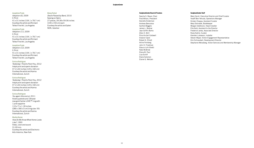#### **SculptureCenter**

#### **Josephine Pryde**

Adoption (6), 2009 C-Print 41 x 31 inches (104.1 x 78.7 cm) Courtesy the artist and Richard Telles Fine Art, Los Angeles

## **Josephine Pryde**

Adoption (11), 2009 C-Print 41 x 31 inches (104.1 x 78.7 cm) Courtesy the artist and Richard Telles Fine Art, Los Angeles

#### **Josephine Pryde**

Adoption (12), 2009 C-Print 41 x 31 inches (104.1 x 78.7 cm) Courtesy the artist and Richard Telles Fine Art, Los Angeles

#### **Carissa Rodriguez**

Yesterday I Tried to Paint You, 2012 Inkjet print and sperm donation 47.2 x 63 inches (120 x 160 cm) Courtesy the artist and Karma International, Zurich

#### **Carissa Rodriguez**

Yesterday I Tried to Paint You, 2012 Inkjet print and sperm donation 47.2 x 63 inches (120 x 160 cm) Courtesy the artist and Karma International, Zurich

#### **Carissa Rodriguez**

You again (Ancora tu) , 2011 Violet quartzite and 18 karat rose gold Cartier LOVE™ ring with 1 pink sapphire 110 x 71 x 1.18 inches (280 x 180 x 3 cm) (ring size: 55) Courtesy the artist and Karma International, Zurich

## **Martha Rosler**

How Do We Know What Home Looks Like?, 1993 Video, color and sound 31:00 min. Courtesy the artist and Electronic Arts Intermix, New York

## **Günes Terkol**

Desire Passed by Band, 2010 Sewing on fabric 27 pieces, 39.38 x 59.06 inches (100 x 150 cm) each Courtesy the artist and Galeri NON, Istanbul

## **SculptureCenter Board of Trustees**

Sascha S. Bauer, Chair Fred Wilson, President Danielle Anderman Andreas Beroutsos Sanford Biggers James L. Bodnar Jean Griffin Borho Allen H. Brill Priscilla Vail Caldwell Eleanor Cayre Robert K. Elliott Arline Feinberg John H. Friedman Glauco Lolli-Ghetti Nate McBride Elena M. Paul Lisa Schiff Diane Solomon Elaine G. Weitzen

#### **SculptureCenter Staff**

Mary Ceruti, Executive Director and Chief Curator Yoseff Ben-Yehuda, Operations Manager Kristen Chappa, Assistant Curator Mary Dohnalek, Bookkeeper Morgan Edelbrock, Head Installer Ella Gold, Assistant to the Director Frederick Janka, Associate Director Ruba Katrib, Curator Kiersten Lukasson, Installer Steven Mayer, Visitor Engagement Representative Kim Schnaubert, Development Director Stephanie Weissberg, Visitor Services and Membership Manager